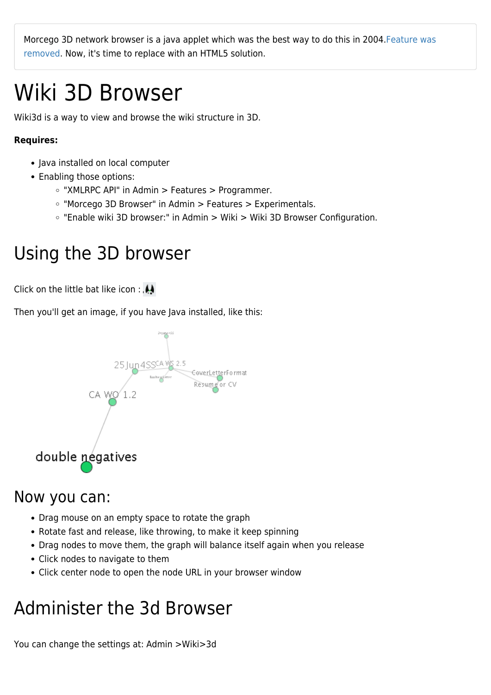Morcego 3D network browser is a java applet which was the best way to do this in 2004[.Feature was](https://sourceforge.net/p/tikiwiki/code/57381) [removed.](https://sourceforge.net/p/tikiwiki/code/57381) Now, it's time to replace with an HTML5 solution.

# Wiki 3D Browser

Wiki3d is a way to view and browse the wiki structure in 3D.

#### **Requires:**

- Java installed on local computer
- Enabling those options:
	- $\circ$  "XMLRPC API" in Admin > Features > Programmer.
	- "Morcego 3D Browser" in Admin > Features > Experimentals.
	- "Enable wiki 3D browser:" in Admin > Wiki > Wiki 3D Browser Configuration.

## Using the 3D browser

Click on the little bat like icon :

Then you'll get an image, if you have Java installed, like this:



### Now you can:

- Drag mouse on an empty space to rotate the graph
- Rotate fast and release, like throwing, to make it keep spinning
- Drag nodes to move them, the graph will balance itself again when you release
- Click nodes to navigate to them
- Click center node to open the node URL in your browser window

## Administer the 3d Browser

You can change the settings at: Admin >Wiki>3d